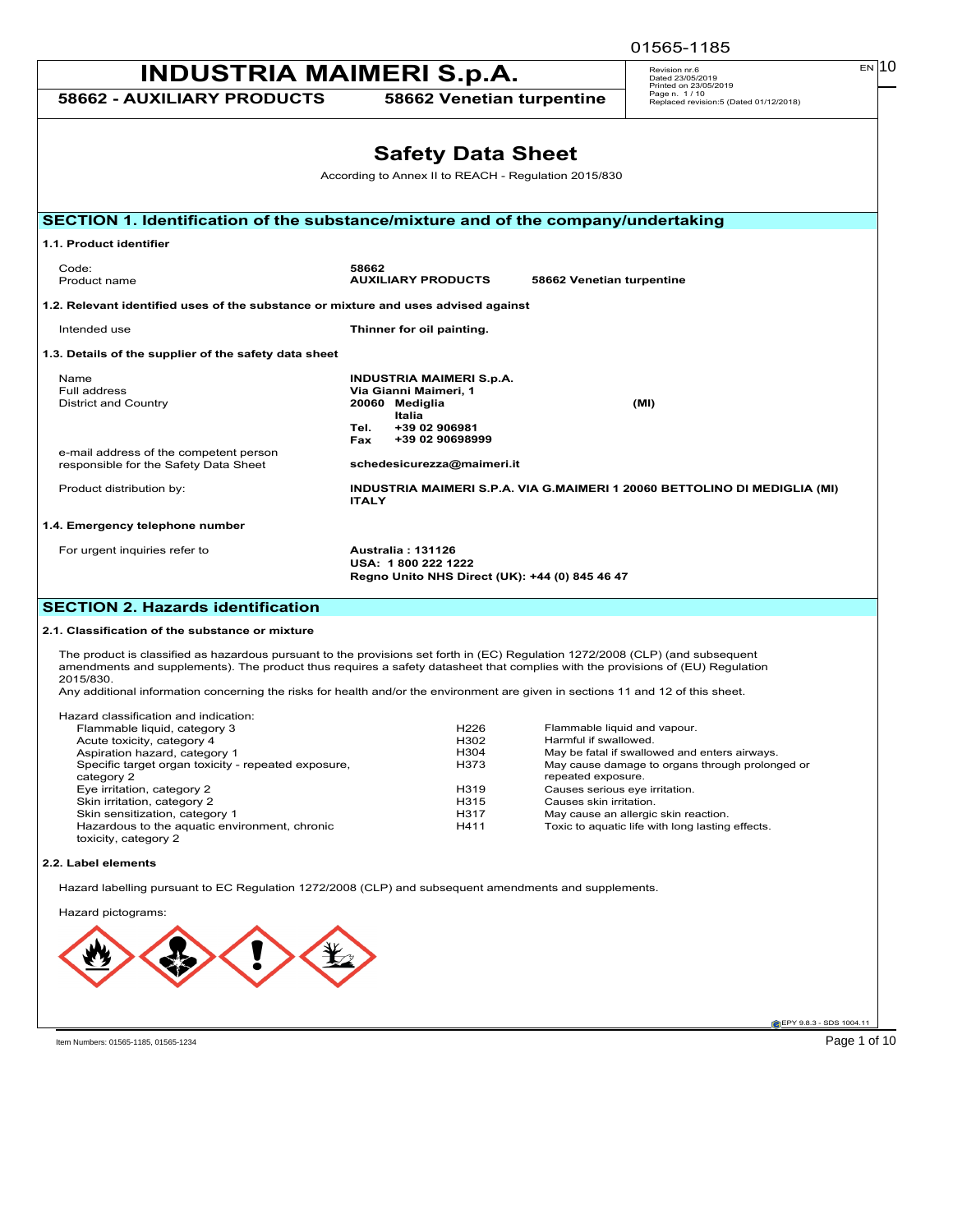|                                                                                    |                                                                                                               | 01565-1185                                                          |
|------------------------------------------------------------------------------------|---------------------------------------------------------------------------------------------------------------|---------------------------------------------------------------------|
| <b>INDUSTRIA MAIMERI S.p.A.</b>                                                    |                                                                                                               | EN 10<br>Revision nr.6<br>Dated 23/05/2019<br>Printed on 23/05/2019 |
| 58662 - AUXILIARY PRODUCTS                                                         | 58662 Venetian turpentine                                                                                     | Page n. 1/10<br>Replaced revision:5 (Dated 01/12/2018)              |
|                                                                                    | <b>Safety Data Sheet</b>                                                                                      |                                                                     |
|                                                                                    | According to Annex II to REACH - Regulation 2015/830                                                          |                                                                     |
|                                                                                    |                                                                                                               |                                                                     |
| SECTION 1. Identification of the substance/mixture and of the company/undertaking  |                                                                                                               |                                                                     |
| 1.1. Product identifier                                                            |                                                                                                               |                                                                     |
| Code:<br>Product name                                                              | 58662<br><b>AUXILIARY PRODUCTS</b><br>58662 Venetian turpentine                                               |                                                                     |
| 1.2. Relevant identified uses of the substance or mixture and uses advised against |                                                                                                               |                                                                     |
| Intended use                                                                       | Thinner for oil painting.                                                                                     |                                                                     |
| 1.3. Details of the supplier of the safety data sheet                              |                                                                                                               |                                                                     |
| Name<br>Full address<br><b>District and Country</b>                                | <b>INDUSTRIA MAIMERI S.p.A.</b><br>Via Gianni Maimeri, 1<br>20060 Mediglia<br>Italia<br>+39 02 906981<br>Tel. | (MI)                                                                |
| e-mail address of the competent person<br>responsible for the Safety Data Sheet    | +39 02 90698999<br><b>Fax</b><br>schedesicurezza@maimeri.it                                                   |                                                                     |
| Product distribution by:                                                           | INDUSTRIA MAIMERI S.P.A. VIA G.MAIMERI 1 20060 BETTOLINO DI MEDIGLIA (MI)<br><b>ITALY</b>                     |                                                                     |
| 1.4. Emergency telephone number                                                    |                                                                                                               |                                                                     |
| For urgent inquiries refer to                                                      | Australia: 131126<br>USA: 1800 222 1222<br>Regno Unito NHS Direct (UK): +44 (0) 845 46 47                     |                                                                     |
| <b>SECTION 2. Hazards identification</b>                                           |                                                                                                               |                                                                     |

#### **2.1. Classification of the substance or mixture**

The product is classified as hazardous pursuant to the provisions set forth in (EC) Regulation 1272/2008 (CLP) (and subsequent<br>amendments and supplements). The product thus requires a safety datasheet that complies with th

Any additional information concerning the risks for health and/or the environment are given in sections 11 and 12 of this sheet.

| Hazard classification and indication:                                 |                  |                                                                       |
|-----------------------------------------------------------------------|------------------|-----------------------------------------------------------------------|
| Flammable liquid, category 3                                          | H <sub>226</sub> | Flammable liquid and vapour.                                          |
| Acute toxicity, category 4                                            | H302             | Harmful if swallowed.                                                 |
| Aspiration hazard, category 1                                         | H <sub>304</sub> | May be fatal if swallowed and enters airways.                         |
| Specific target organ toxicity - repeated exposure,<br>category 2     | H373             | May cause damage to organs through prolonged or<br>repeated exposure. |
| Eye irritation, category 2                                            | H319             | Causes serious eye irritation.                                        |
| Skin irritation, category 2                                           | H315             | Causes skin irritation.                                               |
| Skin sensitization, category 1                                        | H317             | May cause an allergic skin reaction.                                  |
| Hazardous to the aquatic environment, chronic<br>toxicity, category 2 | H411             | Toxic to aquatic life with long lasting effects.                      |

#### **2.2. Label elements**

Hazard labelling pursuant to EC Regulation 1272/2008 (CLP) and subsequent amendments and supplements.

Hazard pictograms:

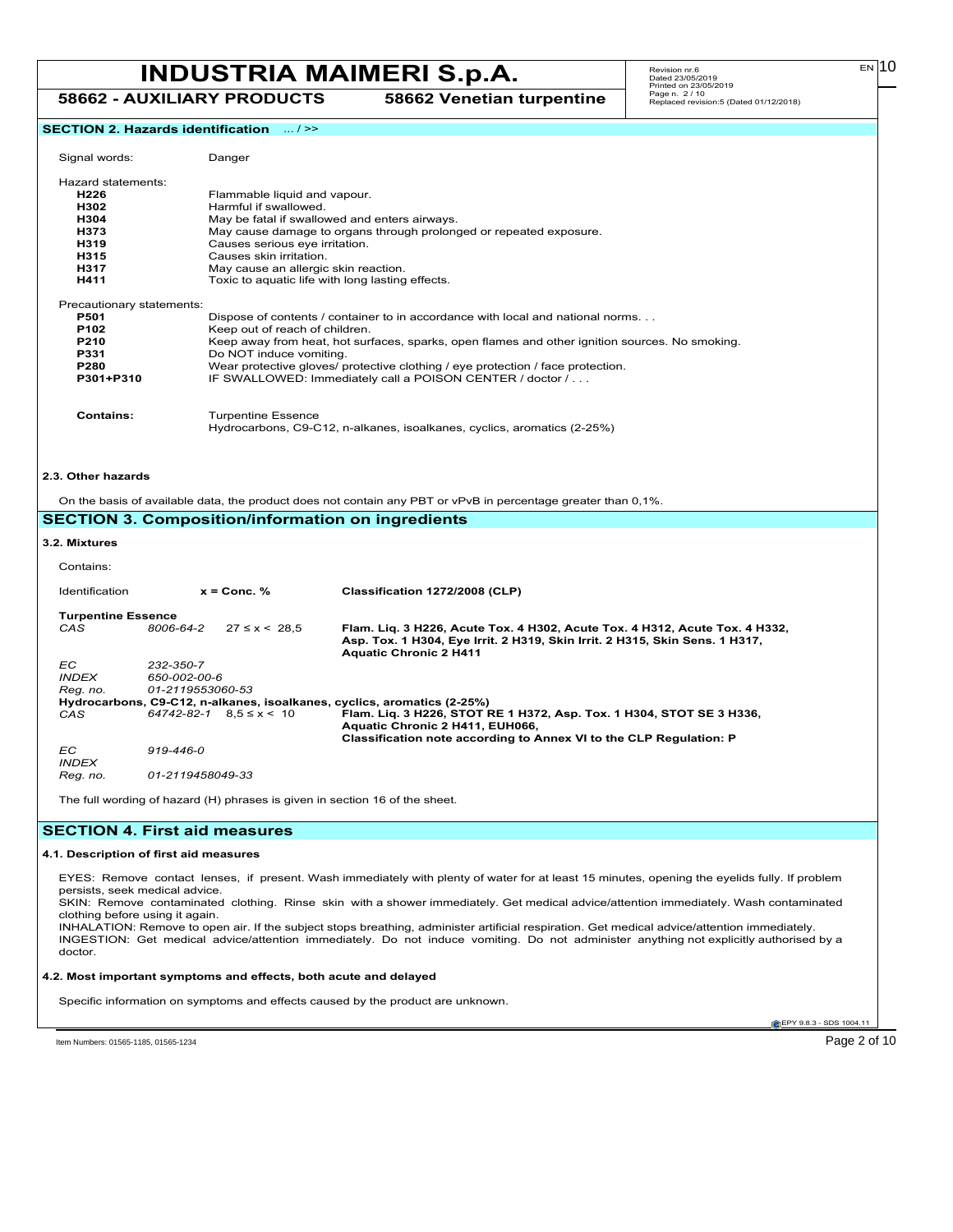**58662 - AUXILIARY PRODUCTS 58662 Venetian turpentine**

 $E N$  10

**SECTION 2. Hazards identification** ... / >>

| Signal words:                                                                      |                                               | Danger                                                                                                                                                                                                         |                                                                                                                                                                                                                                                                                                                                  |
|------------------------------------------------------------------------------------|-----------------------------------------------|----------------------------------------------------------------------------------------------------------------------------------------------------------------------------------------------------------------|----------------------------------------------------------------------------------------------------------------------------------------------------------------------------------------------------------------------------------------------------------------------------------------------------------------------------------|
| Hazard statements:<br>H226<br>H302<br>H304<br>H373<br>H319<br>H315<br>H317<br>H411 |                                               | Flammable liquid and vapour.<br>Harmful if swallowed.<br>Causes serious eye irritation.<br>Causes skin irritation.<br>May cause an allergic skin reaction.<br>Toxic to aquatic life with long lasting effects. | May be fatal if swallowed and enters airways.<br>May cause damage to organs through prolonged or repeated exposure.                                                                                                                                                                                                              |
| Precautionary statements:<br>P501<br>P102<br>P210<br>P331<br>P280<br>P301+P310     |                                               | Keep out of reach of children.<br>Do NOT induce vomiting.                                                                                                                                                      | Dispose of contents / container to in accordance with local and national norms<br>Keep away from heat, hot surfaces, sparks, open flames and other ignition sources. No smoking.<br>Wear protective gloves/ protective clothing / eye protection / face protection.<br>IF SWALLOWED: Immediately call a POISON CENTER / doctor / |
| <b>Contains:</b>                                                                   |                                               | <b>Turpentine Essence</b>                                                                                                                                                                                      | Hydrocarbons, C9-C12, n-alkanes, isoalkanes, cyclics, aromatics (2-25%)                                                                                                                                                                                                                                                          |
| 2.3. Other hazards                                                                 |                                               |                                                                                                                                                                                                                | On the basis of available data, the product does not contain any PBT or vPvB in percentage greater than 0.1%.<br><b>SECTION 3. Composition/information on ingredients</b>                                                                                                                                                        |
| 3.2. Mixtures                                                                      |                                               |                                                                                                                                                                                                                |                                                                                                                                                                                                                                                                                                                                  |
| Contains:                                                                          |                                               | $x =$ Conc. %                                                                                                                                                                                                  |                                                                                                                                                                                                                                                                                                                                  |
| Identification<br><b>Turpentine Essence</b><br>CAS                                 | 8006-64-2                                     | $27 \le x \le 28.5$                                                                                                                                                                                            | Classification 1272/2008 (CLP)<br>Flam. Liq. 3 H226, Acute Tox. 4 H302, Acute Tox. 4 H312, Acute Tox. 4 H332,<br>Asp. Tox. 1 H304, Eye Irrit. 2 H319, Skin Irrit. 2 H315, Skin Sens. 1 H317,                                                                                                                                     |
| ЕC<br><b>INDEX</b><br>Reg. no.<br>CAS                                              | 232-350-7<br>650-002-00-6<br>01-2119553060-53 | $64742 - 82 - 1$ $8.5 \le x \le 10$                                                                                                                                                                            | <b>Aquatic Chronic 2 H411</b><br>Hydrocarbons, C9-C12, n-alkanes, isoalkanes, cyclics, aromatics (2-25%)<br>Flam. Liq. 3 H226, STOT RE 1 H372, Asp. Tox. 1 H304, STOT SE 3 H336,<br>Aquatic Chronic 2 H411, EUH066,<br>Classification note according to Annex VI to the CLP Regulation: P                                        |
| ЕC<br><b>INDEX</b><br>Reg. no.                                                     | 919-446-0<br>01-2119458049-33                 |                                                                                                                                                                                                                |                                                                                                                                                                                                                                                                                                                                  |
|                                                                                    |                                               | The full wording of hazard (H) phrases is given in section 16 of the sheet.                                                                                                                                    |                                                                                                                                                                                                                                                                                                                                  |
| <b>SECTION 4. First aid measures</b>                                               |                                               |                                                                                                                                                                                                                |                                                                                                                                                                                                                                                                                                                                  |
| 4.1. Description of first aid measures<br>persists, seek medical advice.           |                                               |                                                                                                                                                                                                                | EYES: Remove contact lenses, if present. Wash immediately with plenty of water for at least 15 minutes, opening the eyelids fully. If problem<br>SKIN: Remove contaminated clothing. Rinse skin with a shower immediately. Get medical advice/attention immediately. Wash contaminated                                           |
| clothing before using it again.<br>doctor.                                         |                                               |                                                                                                                                                                                                                | INHALATION: Remove to open air. If the subject stops breathing, administer artificial respiration. Get medical advice/attention immediately.<br>INGESTION: Get medical advice/attention immediately. Do not induce vomiting. Do not administer anything not explicitly authorised by a                                           |
|                                                                                    |                                               | 4.2. Most important symptoms and effects, both acute and delayed                                                                                                                                               |                                                                                                                                                                                                                                                                                                                                  |
|                                                                                    |                                               |                                                                                                                                                                                                                | Specific information on symptoms and effects caused by the product are unknown.                                                                                                                                                                                                                                                  |
| Item Numbers: 01565-1185, 01565-1234                                               |                                               |                                                                                                                                                                                                                | EPY 9.8.3 - SDS 1004.11<br>Page 2 of 10                                                                                                                                                                                                                                                                                          |
|                                                                                    |                                               |                                                                                                                                                                                                                |                                                                                                                                                                                                                                                                                                                                  |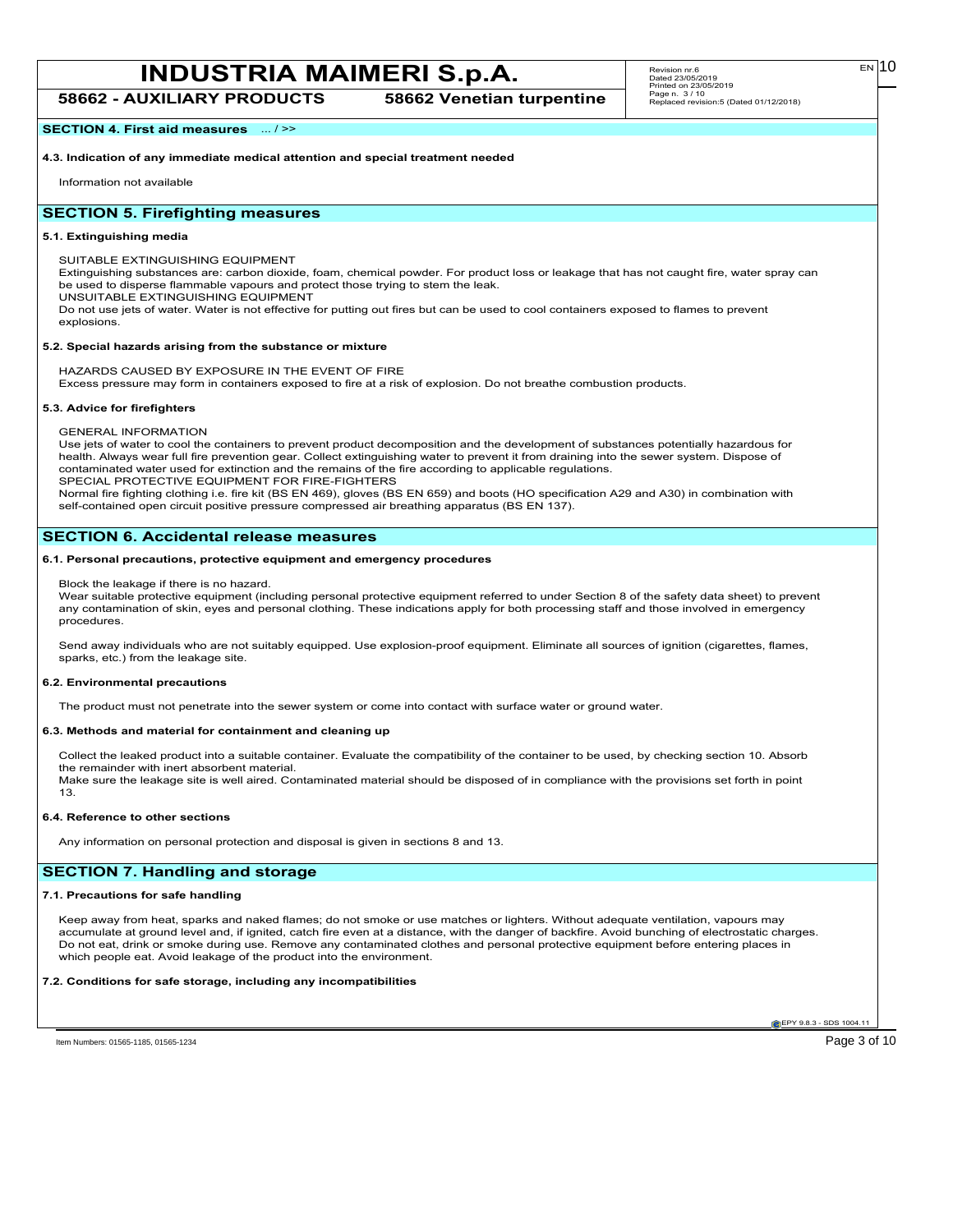**58662 - AUXILIARY PRODUCTS 58662 Venetian turpentine**

**SECTION 4. First aid measures** ... / >>

**4.3. Indication of any immediate medical attention and special treatment needed**

Information not available

#### **SECTION 5. Firefighting measures**

#### **5.1. Extinguishing media**

SUITABLE EXTINGUISHING EQUIPMENT

Extinguishing substances are: carbon dioxide, foam, chemical powder. For product loss or leakage that has not caught fire, water spray can be used to disperse flammable vapours and protect those trying to stem the leak.

UNSUITABLE EXTINGUISHING EQUIPMENT

Do not use jets of water. Water is not effective for putting out fires but can be used to cool containers exposed to flames to prevent explosions.

#### **5.2. Special hazards arising from the substance or mixture**

HAZARDS CAUSED BY EXPOSURE IN THE EVENT OF FIRE

Excess pressure may form in containers exposed to fire at a risk of explosion. Do not breathe combustion products.

#### **5.3. Advice for firefighters**

GENERAL INFORMATION

Use jets of water to cool the containers to prevent product decomposition and the development of substances potentially hazardous for health. Always wear full fire prevention gear. Collect extinguishing water to prevent it from draining into the sewer system. Dispose of contaminated water used for extinction and the remains of the fire according to applicable regulations. SPECIAL PROTECTIVE EQUIPMENT FOR FIRE-FIGHTERS

Normal fire fighting clothing i.e. fire kit (BS EN 469), gloves (BS EN 659) and boots (HO specification A29 and A30) in combination with self-contained open circuit positive pressure compressed air breathing apparatus (BS EN 137).

#### **SECTION 6. Accidental release measures**

#### **6.1. Personal precautions, protective equipment and emergency procedures**

Block the leakage if there is no hazard.

Wear suitable protective equipment (including personal protective equipment referred to under Section 8 of the safety data sheet) to prevent any contamination of skin, eyes and personal clothing. These indications apply for both processing staff and those involved in emergency procedures.

Send away individuals who are not suitably equipped. Use explosion-proof equipment. Eliminate all sources of ignition (cigarettes, flames, sparks, etc.) from the leakage site.

#### **6.2. Environmental precautions**

The product must not penetrate into the sewer system or come into contact with surface water or ground water.

#### **6.3. Methods and material for containment and cleaning up**

Collect the leaked product into a suitable container. Evaluate the compatibility of the container to be used, by checking section 10. Absorb the remainder with inert absorbent material. Make sure the leakage site is well aired. Contaminated material should be disposed of in compliance with the provisions set forth in point 13.

#### **6.4. Reference to other sections**

Any information on personal protection and disposal is given in sections 8 and 13.

#### **SECTION 7. Handling and storage**

#### **7.1. Precautions for safe handling**

Keep away from heat, sparks and naked flames; do not smoke or use matches or lighters. Without adequate ventilation, vapours may accumulate at ground level and, if ignited, catch fire even at a distance, with the danger of backfire. Avoid bunching of electrostatic charges. Do not eat, drink or smoke during use. Remove any contaminated clothes and personal protective equipment before entering places in which people eat. Avoid leakage of the product into the environment.

#### **7.2. Conditions for safe storage, including any incompatibilities**

**C**EPY 9.8.3 - SDS 1004.1

Item Numbers: 01565-1185, 01565-1234 Page 3 of 10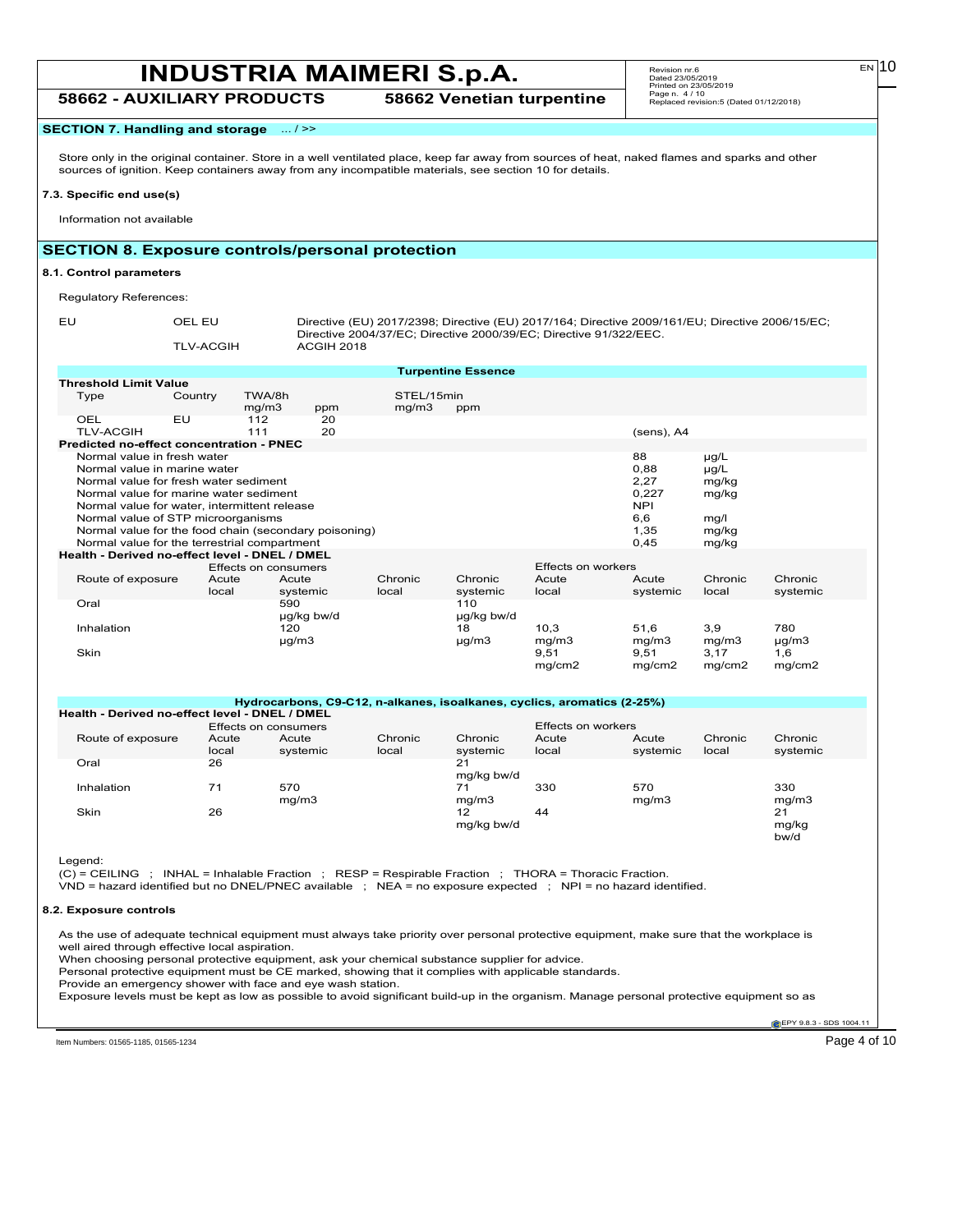### **INDUSTRIA MAIMERI S.p.A.** Revision m:6 and 2306/2019 **58662 - AUXILIARY PRODUCTS 58662 Venetian turpentine**

Revision nr.6 Dated 23/05/2019 Printed on 23/05/2019 Page n. 4 / 10 Replaced revision:5 (Dated 01/12/2018)

#### **SECTION 7. Handling and storage** ... / >>

Store only in the original container. Store in a well ventilated place, keep far away from sources of heat, naked flames and sparks and other sources of ignition. Keep containers away from any incompatible materials, see section 10 for details.

#### **7.3. Specific end use(s)**

Information not available

#### **SECTION 8. Exposure controls/personal protection**

#### **8.1. Control parameters**

Regulatory References:

EU OEL EU Directive (EU) 2017/2398; Directive (EU) 2017/164; Directive 2009/161/EU; Directive 2006/15/EC; Directive 2004/37/EC; Directive 2000/39/EC; Directive 91/322/EEC. TLV-ACGIH ACGIH 2018

|                                                                                                                        |         |                      |            |         | <b>Turpentine Essence</b> |                           |            |           |            |  |
|------------------------------------------------------------------------------------------------------------------------|---------|----------------------|------------|---------|---------------------------|---------------------------|------------|-----------|------------|--|
| <b>Threshold Limit Value</b>                                                                                           |         |                      |            |         |                           |                           |            |           |            |  |
| Type                                                                                                                   | Country | TWA/8h               |            |         | STEL/15min                |                           |            |           |            |  |
|                                                                                                                        |         | mg/m3                | ppm        | mg/m3   | ppm                       |                           |            |           |            |  |
| OEL                                                                                                                    | EU      | 112                  | 20         |         |                           |                           |            |           |            |  |
| <b>TLV-ACGIH</b>                                                                                                       |         | 111                  | 20         |         |                           |                           | (sens), A4 |           |            |  |
| <b>Predicted no-effect concentration - PNEC</b>                                                                        |         |                      |            |         |                           |                           |            |           |            |  |
| Normal value in fresh water                                                                                            |         |                      |            |         |                           |                           | 88         | $\mu$ g/L |            |  |
| Normal value in marine water                                                                                           |         |                      |            |         |                           |                           | 0,88       | $\mu$ g/L |            |  |
| Normal value for fresh water sediment                                                                                  |         |                      |            |         |                           |                           | 2,27       | mg/kg     |            |  |
| Normal value for marine water sediment                                                                                 |         |                      |            |         |                           |                           | 0,227      | mg/kg     |            |  |
| Normal value for water, intermittent release                                                                           |         |                      |            |         |                           |                           | <b>NPI</b> |           |            |  |
| Normal value of STP microorganisms                                                                                     |         |                      |            |         |                           |                           | 6,6        | mg/l      |            |  |
|                                                                                                                        |         |                      |            |         |                           |                           | 1,35       | mg/kg     |            |  |
| Normal value for the food chain (secondary poisoning)<br>Normal value for the terrestrial compartment<br>0,45<br>mg/kg |         |                      |            |         |                           |                           |            |           |            |  |
| Health - Derived no-effect level - DNEL / DMEL                                                                         |         |                      |            |         |                           |                           |            |           |            |  |
|                                                                                                                        |         | Effects on consumers |            |         |                           | <b>Effects on workers</b> |            |           |            |  |
| Route of exposure                                                                                                      | Acute   | Acute                |            | Chronic | Chronic                   | Acute                     | Acute      | Chronic   | Chronic    |  |
|                                                                                                                        | local   |                      | systemic   | local   | systemic                  | local                     | systemic   | local     | systemic   |  |
| Oral                                                                                                                   |         | 590                  |            |         | 110                       |                           |            |           |            |  |
|                                                                                                                        |         |                      |            |         |                           |                           |            |           |            |  |
|                                                                                                                        |         |                      | ug/kg bw/d |         | µg/kg bw/d                |                           |            |           |            |  |
| Inhalation                                                                                                             |         | 120                  |            |         | 18                        | 10.3                      | 51,6       | 3,9       | 780        |  |
|                                                                                                                        |         | µg/m3                |            |         | µg/m3                     | mg/m3                     | mg/m3      | mg/m3     | $\mu$ g/m3 |  |
| Skin                                                                                                                   |         |                      |            |         |                           | 9,51                      | 9,51       | 3,17      | 1,6        |  |
|                                                                                                                        |         |                      |            |         |                           | mg/cm2                    | mg/cm2     | mg/cm2    | mg/cm2     |  |

**Hydrocarbons, C9-C12, n-alkanes, isoalkanes, cyclics, aromatics (2-25%) Health - Derived no-effect level - DNEL / DMEL**

|                   |                | Effects on consumers |                  |                     | Effects on workers |                   |                  |                                   |
|-------------------|----------------|----------------------|------------------|---------------------|--------------------|-------------------|------------------|-----------------------------------|
| Route of exposure | Acute<br>local | Acute<br>systemic    | Chronic<br>local | Chronic<br>systemic | Acute<br>local     | Acute<br>systemic | Chronic<br>local | Chronic<br>systemic               |
| Oral              | 26             |                      |                  | 21<br>mg/kg bw/d    |                    |                   |                  |                                   |
| Inhalation        | 71             | 570<br>mq/m3         |                  | 71<br>mg/m3         | 330                | 570<br>mq/m3      |                  | 330<br>mg/m3                      |
| Skin              | 26             |                      |                  | 12<br>mg/kg bw/d    | 44                 |                   |                  | 21<br>mg/kg<br>$h$ <sub>M/d</sub> |

Legend:

(C) = CEILING ; INHAL = Inhalable Fraction ; RESP = Respirable Fraction ; THORA = Thoracic Fraction.

VND = hazard identified but no DNEL/PNEC available ; NEA = no exposure expected ; NPI = no hazard identified.

#### **8.2. Exposure controls**

As the use of adequate technical equipment must always take priority over personal protective equipment, make sure that the workplace is well aired through effective local aspiration.

When choosing personal protective equipment, ask your chemical substance supplier for advice.

Personal protective equipment must be CE marked, showing that it complies with applicable standards.

Provide an emergency shower with face and eye wash station.

Exposure levels must be kept as low as possible to avoid significant build-up in the organism. Manage personal protective equipment so as

EPY 9.8.3 - SDS 1004.11

Item Numbers: 01565-1185, 01565-1234 Page 4 of 10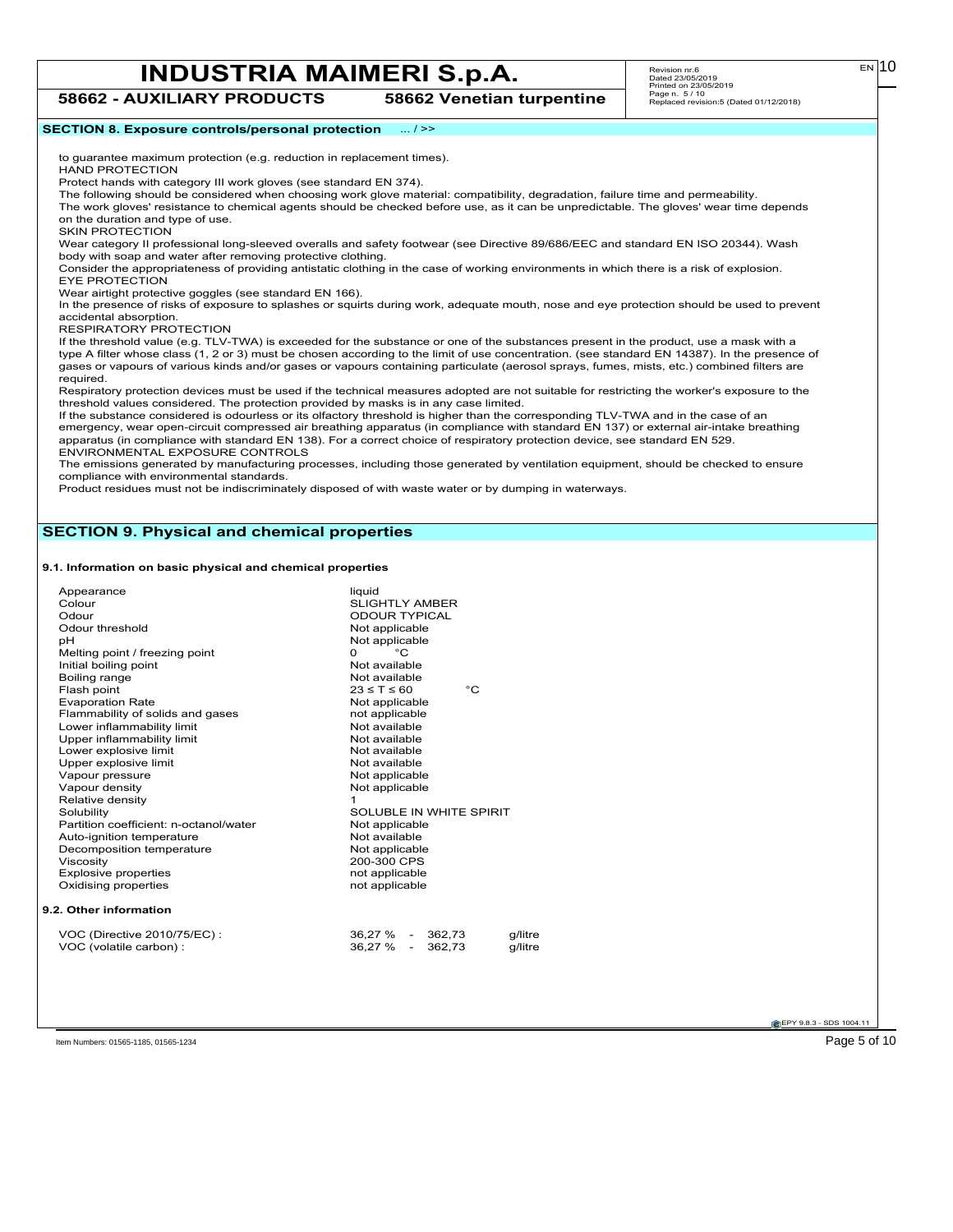**58662 - AUXILIARY PRODUCTS 58662 Venetian turpentine** Revision nr.6 Dated 23/05/2019 Printed on 23/05/2019 Page n. 5 / 10 Replaced revision:5 (Dated 01/12/2018)

#### **SECTION 8. Exposure controls/personal protection** ... / >>

to guarantee maximum protection (e.g. reduction in replacement times). HAND PROTECTION

Protect hands with category III work gloves (see standard EN 374).

The following should be considered when choosing work glove material: compatibility, degradation, failure time and permeability.

The work gloves' resistance to chemical agents should be checked before use, as it can be unpredictable. The gloves' wear time depends on the duration and type of use.

SKIN PROTECTION

Wear category II professional long-sleeved overalls and safety footwear (see Directive 89/686/EEC and standard EN ISO 20344). Wash body with soap and water after removing protective clothing.

Consider the appropriateness of providing antistatic clothing in the case of working environments in which there is a risk of explosion. EYE PROTECTION

Wear airtight protective goggles (see standard EN 166).

In the presence of risks of exposure to splashes or squirts during work, adequate mouth, nose and eye protection should be used to prevent accidental absorption.

RESPIRATORY PROTECTION

If the threshold value (e.g. TLV-TWA) is exceeded for the substance or one of the substances present in the product, use a mask with a type A filter whose class (1, 2 or 3) must be chosen according to the limit of use concentration. (see standard EN 14387). In the presence of gases or vapours of various kinds and/or gases or vapours containing particulate (aerosol sprays, fumes, mists, etc.) combined filters are required.

Respiratory protection devices must be used if the technical measures adopted are not suitable for restricting the worker's exposure to the threshold values considered. The protection provided by masks is in any case limited.

If the substance considered is odourless or its olfactory threshold is higher than the corresponding TLV-TWA and in the case of an emergency, wear open-circuit compressed air breathing apparatus (in compliance with standard EN 137) or external air-intake breathing apparatus (in compliance with standard EN 138). For a correct choice of respiratory protection device, see standard EN 529. ENVIRONMENTAL EXPOSURE CONTROLS

The emissions generated by manufacturing processes, including those generated by ventilation equipment, should be checked to ensure compliance with environmental standards.

Product residues must not be indiscriminately disposed of with waste water or by dumping in waterways.

#### **SECTION 9. Physical and chemical properties**

#### **9.1. Information on basic physical and chemical properties**

| Appearance<br>Colour<br>Odour<br>Odour threshold<br>рH<br>Melting point / freezing point<br>Initial boiling point<br>Boiling range<br>Flash point<br><b>Evaporation Rate</b><br>Flammability of solids and gases<br>Lower inflammability limit<br>Upper inflammability limit<br>Lower explosive limit<br>Upper explosive limit<br>Vapour pressure<br>Vapour density<br>Relative density<br>Solubility<br>Partition coefficient: n-octanol/water<br>Auto-ignition temperature<br>Decomposition temperature<br>Viscosity<br><b>Explosive properties</b><br>Oxidising properties | liquid<br><b>SLIGHTLY AMBER</b><br><b>ODOUR TYPICAL</b><br>Not applicable<br>Not applicable<br>$^{\circ}$ C<br>$\Omega$<br>Not available<br>Not available<br>°C<br>$23 \leq T \leq 60$<br>Not applicable<br>not applicable<br>Not available<br>Not available<br>Not available<br>Not available<br>Not applicable<br>Not applicable<br>$\mathbf{1}$<br>SOLUBLE IN WHITE SPIRIT<br>Not applicable<br>Not available<br>Not applicable<br>200-300 CPS<br>not applicable<br>not applicable |
|-------------------------------------------------------------------------------------------------------------------------------------------------------------------------------------------------------------------------------------------------------------------------------------------------------------------------------------------------------------------------------------------------------------------------------------------------------------------------------------------------------------------------------------------------------------------------------|---------------------------------------------------------------------------------------------------------------------------------------------------------------------------------------------------------------------------------------------------------------------------------------------------------------------------------------------------------------------------------------------------------------------------------------------------------------------------------------|
|                                                                                                                                                                                                                                                                                                                                                                                                                                                                                                                                                                               |                                                                                                                                                                                                                                                                                                                                                                                                                                                                                       |
|                                                                                                                                                                                                                                                                                                                                                                                                                                                                                                                                                                               |                                                                                                                                                                                                                                                                                                                                                                                                                                                                                       |
| 9.2. Other information                                                                                                                                                                                                                                                                                                                                                                                                                                                                                                                                                        |                                                                                                                                                                                                                                                                                                                                                                                                                                                                                       |
| VOC (Directive 2010/75/EC):<br>VOC (volatile carbon) :                                                                                                                                                                                                                                                                                                                                                                                                                                                                                                                        | 36,27 % - 362,73<br>g/litre<br>36.27 % -<br>362.73<br>g/litre                                                                                                                                                                                                                                                                                                                                                                                                                         |

**EPY 9.8.3 - SDS 1004.1** 

Item Numbers: 01565-1185, 01565-1234 Page 5 of 10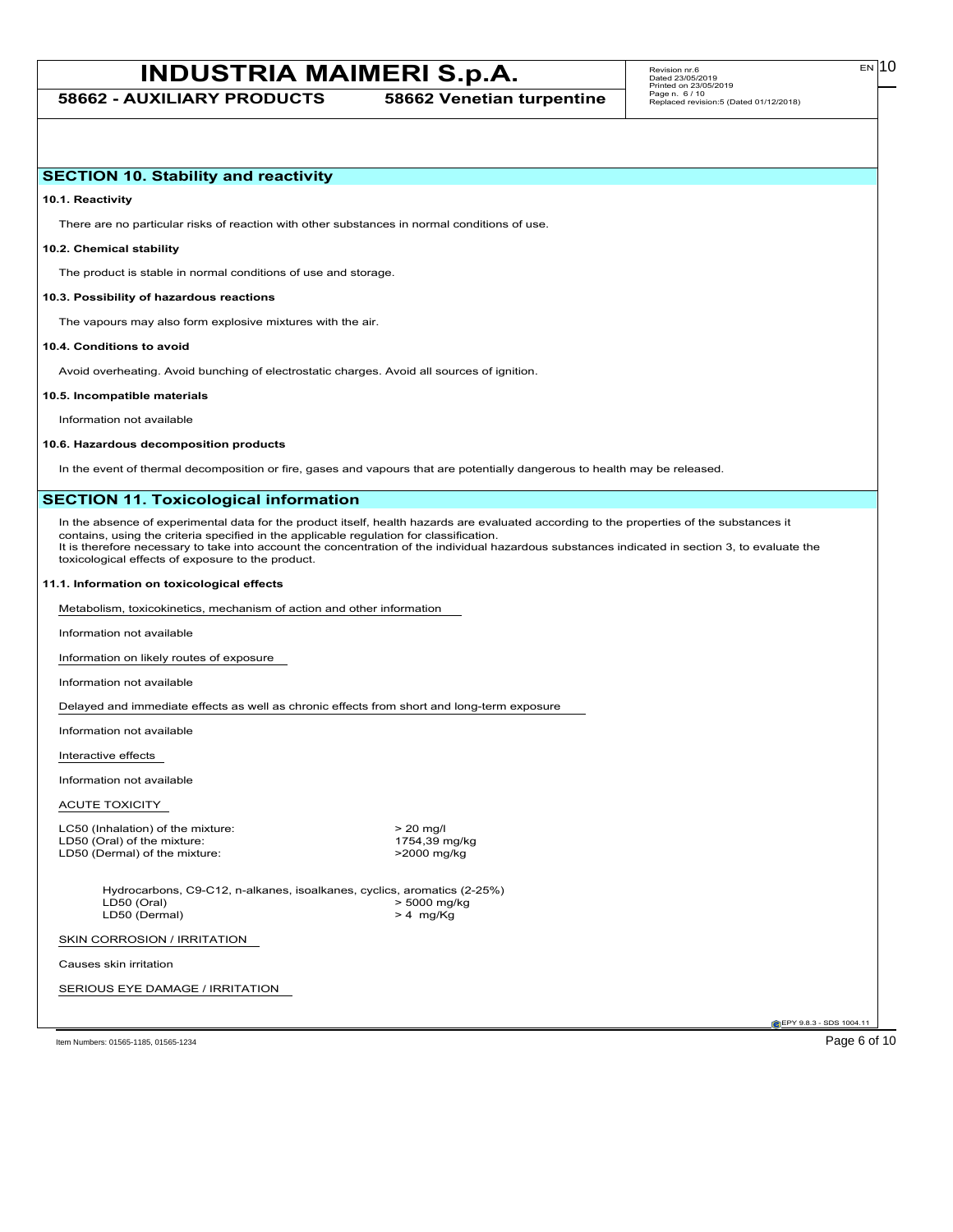EN

#### **SECTION 10. Stability and reactivity**

**10.1. Reactivity**

There are no particular risks of reaction with other substances in normal conditions of use.

#### **10.2. Chemical stability**

The product is stable in normal conditions of use and storage.

#### **10.3. Possibility of hazardous reactions**

The vapours may also form explosive mixtures with the air.

#### **10.4. Conditions to avoid**

Avoid overheating. Avoid bunching of electrostatic charges. Avoid all sources of ignition.

#### **10.5. Incompatible materials**

Information not available

#### **10.6. Hazardous decomposition products**

In the event of thermal decomposition or fire, gases and vapours that are potentially dangerous to health may be released.

#### **SECTION 11. Toxicological information**

In the absence of experimental data for the product itself, health hazards are evaluated according to the properties of the substances it contains, using the criteria specified in the applicable regulation for classification. It is therefore necessary to take into account the concentration of the individual hazardous substances indicated in section 3, to evaluate the toxicological effects of exposure to the product.

#### **11.1. Information on toxicological effects**

Metabolism, toxicokinetics, mechanism of action and other information

Information not available

Information on likely routes of exposure

Information not available

Delayed and immediate effects as well as chronic effects from short and long-term exposure

Information not available

Interactive effects

Information not available

ACUTE TOXICITY

LC50 (Inhalation) of the mixture:  $\geq 20 \text{ mgl}$ <br>LD50 (Oral) of the mixture:  $\geq 20 \text{ mgl}$ <br>1754,39 mg/kg LD50 (Oral) of the mixture: 1754,39 mg/k<br>LD50 (Dermal) of the mixture: 2000 mg/kg LD50 (Dermal) of the mixture:

Hydrocarbons, C9-C12, n-alkanes, isoalkanes, cyclics, aromatics (2-25%)<br>LD50 (Oral) > 5000 mg/kg  $> 5000$  mg/kg<br> $> 4$  mg/Kg  $LD50$  (Dermal)

#### SKIN CORROSION / IRRITATION

Causes skin irritation

SERIOUS EYE DAMAGE / IRRITATION

**C**EPY 9.8.3 - SDS 1004.1

Item Numbers: 01565-1185, 01565-1234 Page 6 of 10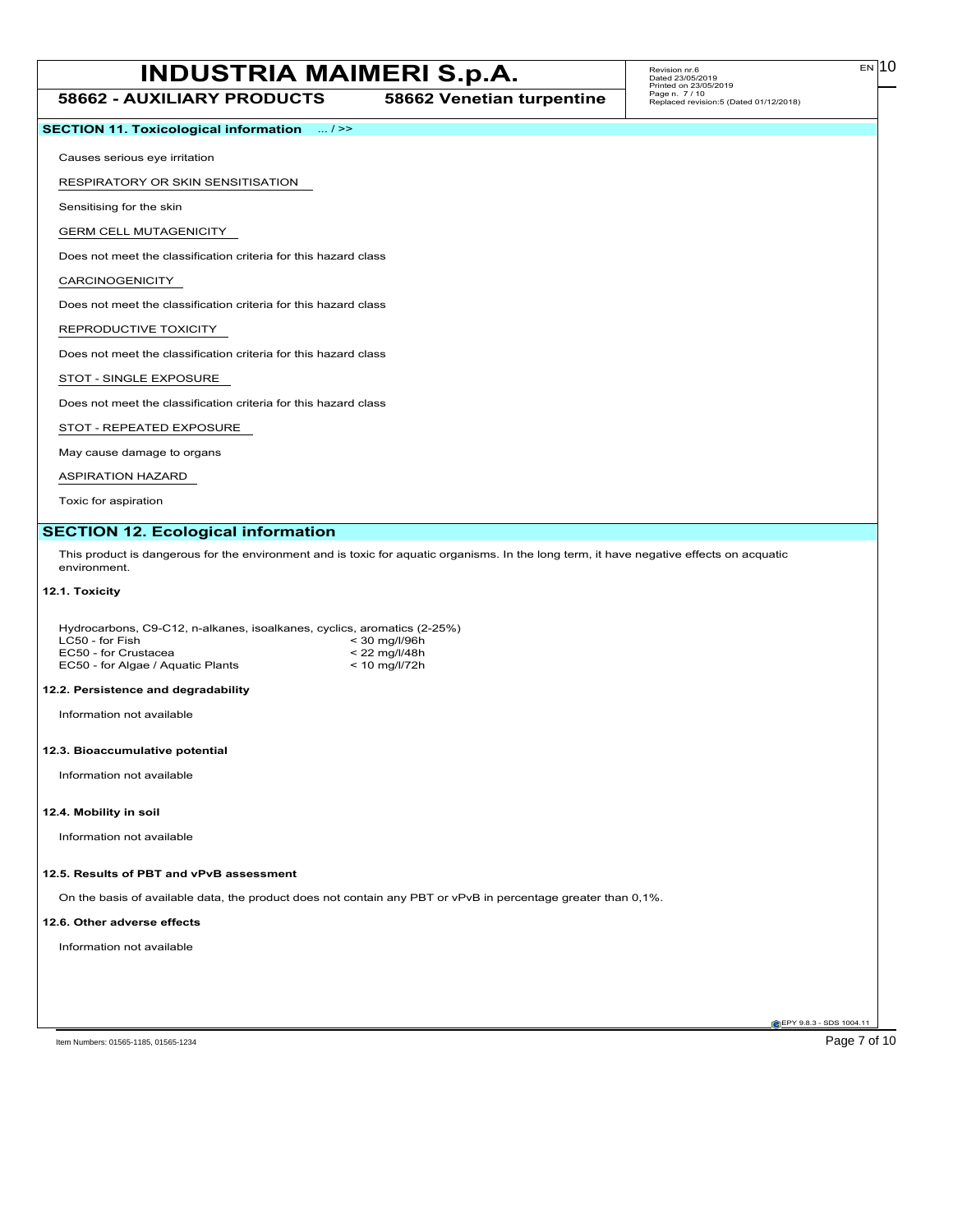**58662 - AUXILIARY PRODUCTS 58662 Venetian turpentine**

#### **SECTION 11. Toxicological information** ... / >>

Causes serious eye irritation

RESPIRATORY OR SKIN SENSITISATION

Sensitising for the skin

GERM CELL MUTAGENICITY

Does not meet the classification criteria for this hazard class

CARCINOGENICITY

Does not meet the classification criteria for this hazard class

REPRODUCTIVE TOXICITY

Does not meet the classification criteria for this hazard class

STOT - SINGLE EXPOSURE

Does not meet the classification criteria for this hazard class

STOT - REPEATED EXPOSURE

May cause damage to organs

ASPIRATION HAZARD

Toxic for aspiration

#### **SECTION 12. Ecological information**

This product is dangerous for the environment and is toxic for aquatic organisms. In the long term, it have negative effects on acquatic environment.

#### **12.1. Toxicity**

| Hydrocarbons, C9-C12, n-alkanes, isoalkanes, cyclics, aromatics (2-25%) |                 |
|-------------------------------------------------------------------------|-----------------|
| LC50 - for Fish                                                         | $<$ 30 ma/l/96h |
| EC50 - for Crustacea                                                    | $< 22$ ma/l/48h |
| EC50 - for Algae / Aguatic Plants                                       | $< 10$ ma/l/72h |

#### **12.2. Persistence and degradability**

Information not available

#### **12.3. Bioaccumulative potential**

Information not available

#### **12.4. Mobility in soil**

Information not available

#### **12.5. Results of PBT and vPvB assessment**

On the basis of available data, the product does not contain any PBT or vPvB in percentage greater than 0,1%.

#### **12.6. Other adverse effects**

Information not available

**EPY 9.8.3 - SDS 1004.1**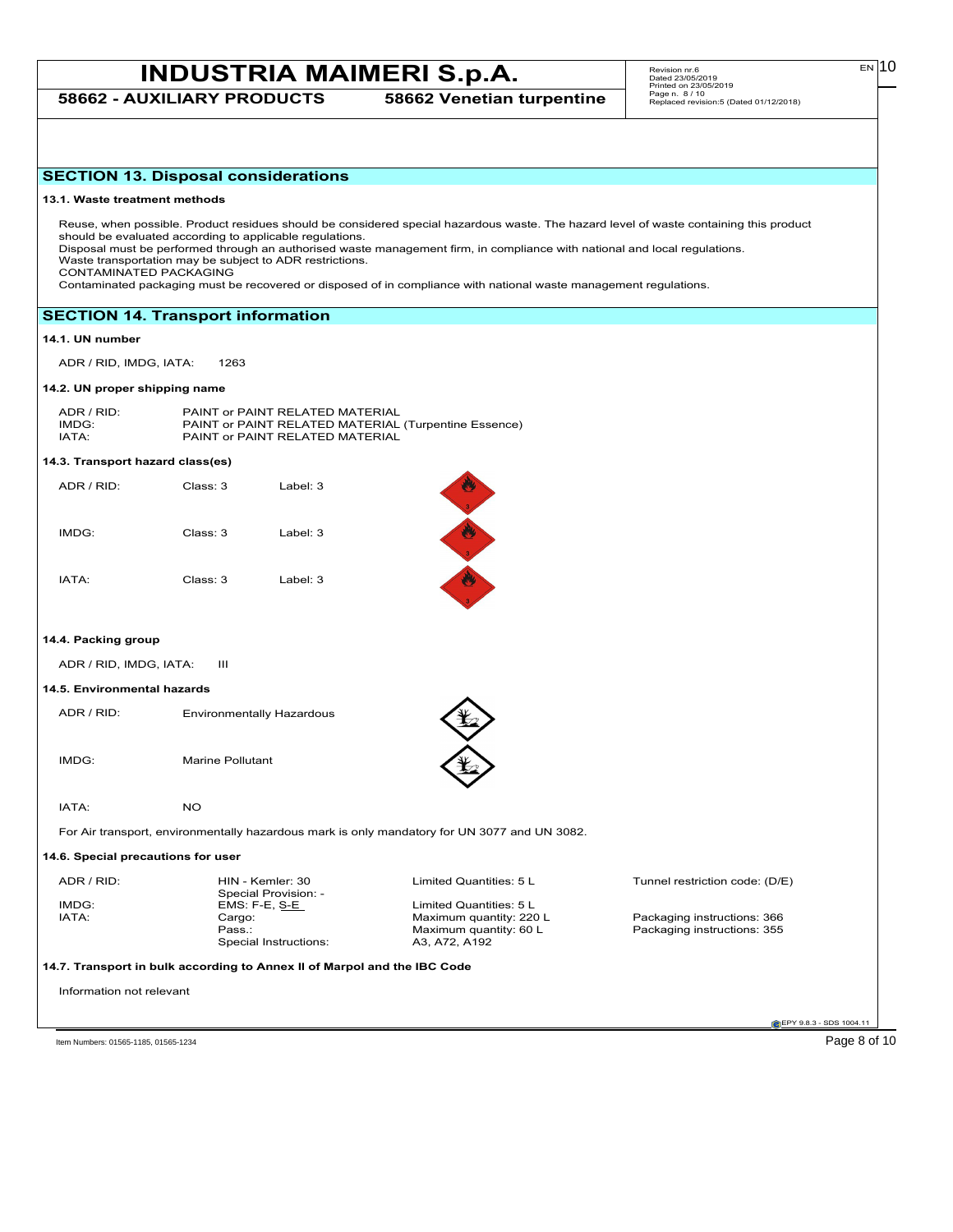**58662 - AUXILIARY PRODUCTS 58662 Venetian turpentine**

| <b>SECTION 13. Disposal considerations</b> |                         |                                                                                                                      |                                                                                                                                                                                                                                                 |                                                                                                                                        |
|--------------------------------------------|-------------------------|----------------------------------------------------------------------------------------------------------------------|-------------------------------------------------------------------------------------------------------------------------------------------------------------------------------------------------------------------------------------------------|----------------------------------------------------------------------------------------------------------------------------------------|
| 13.1. Waste treatment methods              |                         |                                                                                                                      |                                                                                                                                                                                                                                                 |                                                                                                                                        |
| CONTAMINATED PACKAGING                     |                         | should be evaluated according to applicable regulations.<br>Waste transportation may be subject to ADR restrictions. | Disposal must be performed through an authorised waste management firm, in compliance with national and local regulations.<br>Contaminated packaging must be recovered or disposed of in compliance with national waste management regulations. | Reuse, when possible. Product residues should be considered special hazardous waste. The hazard level of waste containing this product |
| <b>SECTION 14. Transport information</b>   |                         |                                                                                                                      |                                                                                                                                                                                                                                                 |                                                                                                                                        |
| 14.1. UN number                            |                         |                                                                                                                      |                                                                                                                                                                                                                                                 |                                                                                                                                        |
| ADR / RID, IMDG, IATA:                     | 1263                    |                                                                                                                      |                                                                                                                                                                                                                                                 |                                                                                                                                        |
| 14.2. UN proper shipping name              |                         |                                                                                                                      |                                                                                                                                                                                                                                                 |                                                                                                                                        |
| ADR / RID:<br>IMDG:<br>IATA:               |                         | PAINT or PAINT RELATED MATERIAL<br>PAINT or PAINT RELATED MATERIAL                                                   | PAINT or PAINT RELATED MATERIAL (Turpentine Essence)                                                                                                                                                                                            |                                                                                                                                        |
| 14.3. Transport hazard class(es)           |                         |                                                                                                                      |                                                                                                                                                                                                                                                 |                                                                                                                                        |
| ADR / RID:                                 | Class: 3                | Label: 3                                                                                                             |                                                                                                                                                                                                                                                 |                                                                                                                                        |
| IMDG:                                      | Class: 3                | Label: 3                                                                                                             |                                                                                                                                                                                                                                                 |                                                                                                                                        |
| IATA:                                      | Class: 3                | Label: 3                                                                                                             |                                                                                                                                                                                                                                                 |                                                                                                                                        |
| 14.4. Packing group                        |                         |                                                                                                                      |                                                                                                                                                                                                                                                 |                                                                                                                                        |
| ADR / RID, IMDG, IATA:                     | Ш                       |                                                                                                                      |                                                                                                                                                                                                                                                 |                                                                                                                                        |
| 14.5. Environmental hazards                |                         |                                                                                                                      |                                                                                                                                                                                                                                                 |                                                                                                                                        |
| ADR / RID:                                 |                         | <b>Environmentally Hazardous</b>                                                                                     |                                                                                                                                                                                                                                                 |                                                                                                                                        |
| IMDG:                                      | <b>Marine Pollutant</b> |                                                                                                                      |                                                                                                                                                                                                                                                 |                                                                                                                                        |
| IATA:                                      | <b>NO</b>               |                                                                                                                      |                                                                                                                                                                                                                                                 |                                                                                                                                        |
|                                            |                         |                                                                                                                      | For Air transport, environmentally hazardous mark is only mandatory for UN 3077 and UN 3082.                                                                                                                                                    |                                                                                                                                        |
| 14.6. Special precautions for user         |                         |                                                                                                                      |                                                                                                                                                                                                                                                 |                                                                                                                                        |
| ADR / RID:                                 |                         | HIN - Kemler: 30                                                                                                     | Limited Quantities: 5 L                                                                                                                                                                                                                         | Tunnel restriction code: (D/E)                                                                                                         |
| IMDG:<br>IATA:                             | Cargo:<br>Pass.:        | Special Provision: -<br>EMS: F-E, S <u>-E</u><br>Special Instructions:                                               | Limited Quantities: 5 L<br>Maximum quantity: 220 L<br>Maximum quantity: 60 L<br>A3, A72, A192                                                                                                                                                   | Packaging instructions: 366<br>Packaging instructions: 355                                                                             |
|                                            |                         | 14.7. Transport in bulk according to Annex II of Marpol and the IBC Code                                             |                                                                                                                                                                                                                                                 |                                                                                                                                        |
| Information not relevant                   |                         |                                                                                                                      |                                                                                                                                                                                                                                                 |                                                                                                                                        |
|                                            |                         |                                                                                                                      |                                                                                                                                                                                                                                                 | <b>@EPY 9.8.3 - SDS 1004.11</b>                                                                                                        |

Item Numbers: 01565-1185, 01565-1234 Page 8 of 10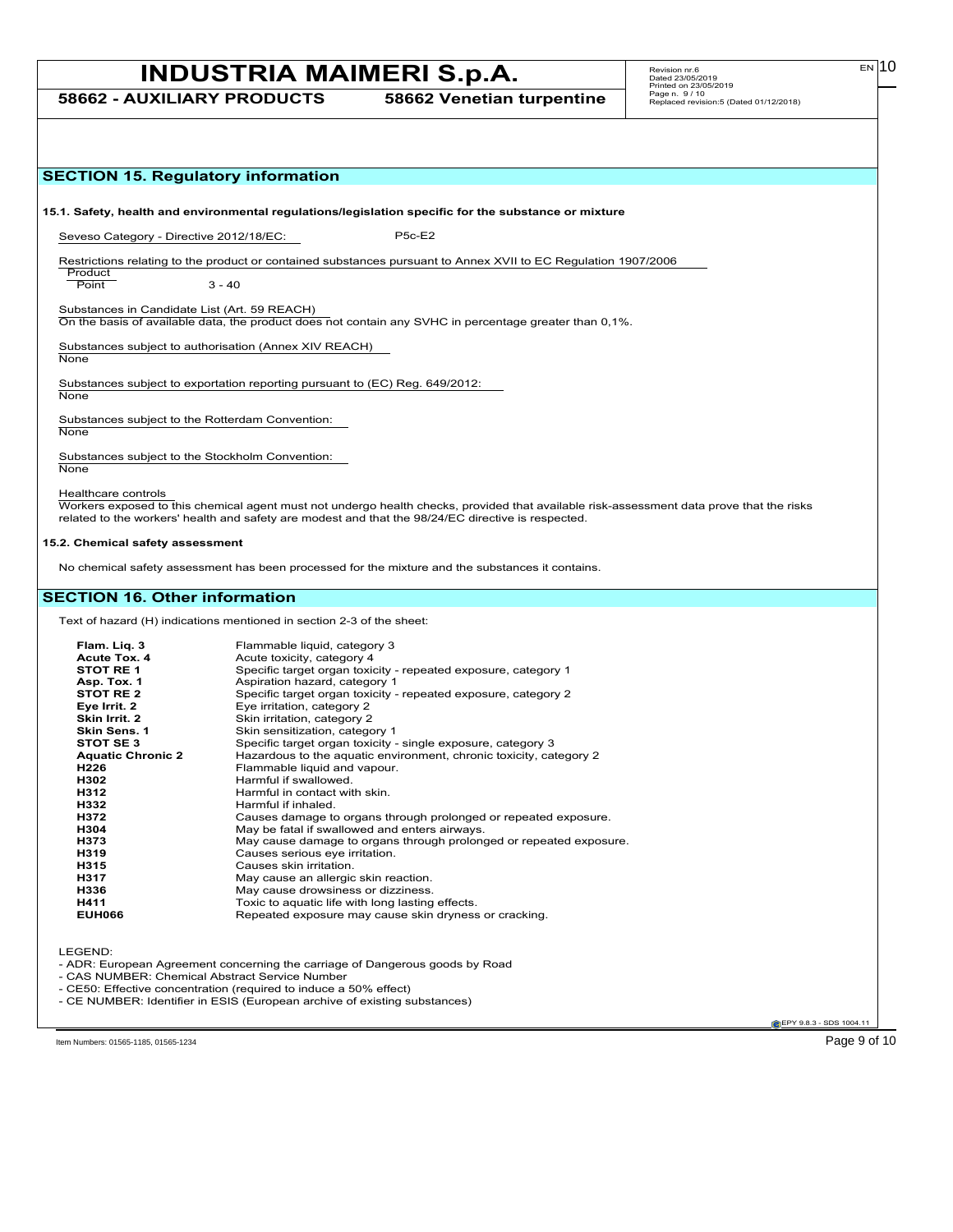**58662 - AUXILIARY PRODUCTS 58662 Venetian turpentine**

 $E<sub>N</sub>$  10

| <b>SECTION 15. Regulatory information</b>               |                                                                                                                                                                                                                                                |
|---------------------------------------------------------|------------------------------------------------------------------------------------------------------------------------------------------------------------------------------------------------------------------------------------------------|
|                                                         |                                                                                                                                                                                                                                                |
|                                                         | 15.1. Safety, health and environmental regulations/legislation specific for the substance or mixture                                                                                                                                           |
| Seveso Category - Directive 2012/18/EC:                 | <b>P5c-E2</b>                                                                                                                                                                                                                                  |
| Product<br>Point                                        | Restrictions relating to the product or contained substances pursuant to Annex XVII to EC Regulation 1907/2006<br>$3 - 40$                                                                                                                     |
|                                                         |                                                                                                                                                                                                                                                |
| Substances in Candidate List (Art. 59 REACH)            | On the basis of available data, the product does not contain any SVHC in percentage greater than 0,1%.                                                                                                                                         |
| None                                                    | Substances subject to authorisation (Annex XIV REACH)                                                                                                                                                                                          |
| None                                                    | Substances subject to exportation reporting pursuant to (EC) Reg. 649/2012:                                                                                                                                                                    |
| Substances subject to the Rotterdam Convention:<br>None |                                                                                                                                                                                                                                                |
| Substances subject to the Stockholm Convention:<br>None |                                                                                                                                                                                                                                                |
| Healthcare controls                                     | Workers exposed to this chemical agent must not undergo health checks, provided that available risk-assessment data prove that the risks<br>related to the workers' health and safety are modest and that the 98/24/EC directive is respected. |
| 15.2. Chemical safety assessment                        |                                                                                                                                                                                                                                                |
|                                                         | No chemical safety assessment has been processed for the mixture and the substances it contains.                                                                                                                                               |
|                                                         |                                                                                                                                                                                                                                                |
| <b>SECTION 16. Other information</b>                    |                                                                                                                                                                                                                                                |
|                                                         | Text of hazard (H) indications mentioned in section 2-3 of the sheet:                                                                                                                                                                          |
| Flam. Liq. 3                                            | Flammable liquid, category 3                                                                                                                                                                                                                   |
| <b>Acute Tox. 4</b><br><b>STOT RE1</b>                  | Acute toxicity, category 4<br>Specific target organ toxicity - repeated exposure, category 1                                                                                                                                                   |
| Asp. Tox. 1                                             | Aspiration hazard, category 1                                                                                                                                                                                                                  |
| STOT RE 2                                               | Specific target organ toxicity - repeated exposure, category 2                                                                                                                                                                                 |
| Eye Irrit. 2                                            | Eye irritation, category 2                                                                                                                                                                                                                     |
| Skin Irrit. 2                                           | Skin irritation, category 2                                                                                                                                                                                                                    |
| Skin Sens. 1                                            | Skin sensitization, category 1                                                                                                                                                                                                                 |
| STOT SE 3                                               | Specific target organ toxicity - single exposure, category 3                                                                                                                                                                                   |
| <b>Aquatic Chronic 2</b><br>H226                        | Hazardous to the aquatic environment, chronic toxicity, category 2<br>Flammable liquid and vapour.                                                                                                                                             |
| H302                                                    | Harmful if swallowed.                                                                                                                                                                                                                          |
| H312                                                    | Harmful in contact with skin.                                                                                                                                                                                                                  |
| H332                                                    | Harmful if inhaled.                                                                                                                                                                                                                            |
| H372                                                    | Causes damage to organs through prolonged or repeated exposure                                                                                                                                                                                 |
| H304<br>H373                                            | May be fatal if swallowed and enters airways.<br>May cause damage to organs through prolonged or repeated exposure.                                                                                                                            |
| H319                                                    | Causes serious eye irritation.                                                                                                                                                                                                                 |
| H315                                                    | Causes skin irritation.                                                                                                                                                                                                                        |
| H317                                                    | May cause an allergic skin reaction.                                                                                                                                                                                                           |
| H336                                                    | May cause drowsiness or dizziness.                                                                                                                                                                                                             |
| H411<br><b>EUH066</b>                                   | Toxic to aquatic life with long lasting effects.<br>Repeated exposure may cause skin dryness or cracking.                                                                                                                                      |
|                                                         |                                                                                                                                                                                                                                                |
| LEGEND:                                                 |                                                                                                                                                                                                                                                |
| - CAS NUMBER: Chemical Abstract Service Number          | - ADR: European Agreement concerning the carriage of Dangerous goods by Road                                                                                                                                                                   |
|                                                         | - CE50: Effective concentration (required to induce a 50% effect)                                                                                                                                                                              |
|                                                         | - CE NUMBER: Identifier in ESIS (European archive of existing substances)                                                                                                                                                                      |
|                                                         | EPY 9.8.3 - SDS 1004.11                                                                                                                                                                                                                        |
|                                                         |                                                                                                                                                                                                                                                |
| Item Numbers: 01565-1185, 01565-1234                    | Page 9 of 10                                                                                                                                                                                                                                   |